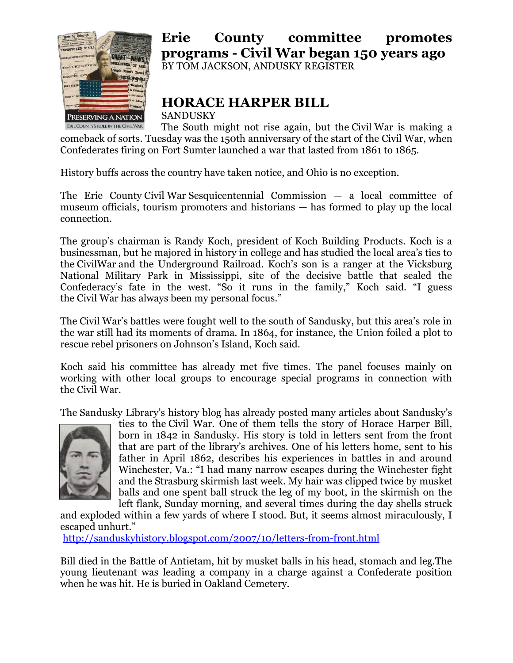

## **Erie County committee promotes programs - Civil War began 150 years ago** BY TOM JACKSON, ANDUSKY REGISTER

**HORACE HARPER BILL**

SANDUSKY

The South might not rise again, but the Civil War is making a comeback of sorts. Tuesday was the 150th anniversary of the start of the Civil War, when Confederates firing on Fort Sumter launched a war that lasted from 1861 to 1865.

History buffs across the country have taken notice, and Ohio is no exception.

The Erie County Civil War Sesquicentennial Commission — a local committee of museum officials, tourism promoters and historians — has formed to play up the local connection.

The group's chairman is Randy Koch, president of Koch Building Products. Koch is a businessman, but he majored in history in college and has studied the local area's ties to the CivilWar and the Underground Railroad. Koch's son is a ranger at the Vicksburg National Military Park in Mississippi, site of the decisive battle that sealed the Confederacy's fate in the west. "So it runs in the family," Koch said. "I guess the Civil War has always been my personal focus."

The Civil War's battles were fought well to the south of Sandusky, but this area's role in the war still had its moments of drama. In 1864, for instance, the Union foiled a plot to rescue rebel prisoners on Johnson's Island, Koch said.

Koch said his committee has already met five times. The panel focuses mainly on working with other local groups to encourage special programs in connection with the Civil War.

The Sandusky Library's history blog has already posted many articles about Sandusky's



ties to the Civil War. One of them tells the story of Horace Harper Bill, born in 1842 in Sandusky. His story is told in letters sent from the front that are part of the library's archives. One of his letters home, sent to his father in April 1862, describes his experiences in battles in and around Winchester, Va.: "I had many narrow escapes during the Winchester fight and the Strasburg skirmish last week. My hair was clipped twice by musket balls and one spent ball struck the leg of my boot, in the skirmish on the left flank, Sunday morning, and several times during the day shells struck

and exploded within a few yards of where I stood. But, it seems almost miraculously, I escaped unhurt."

<http://sanduskyhistory.blogspot.com/2007/10/letters-from-front.html>

Bill died in the Battle of Antietam, hit by musket balls in his head, stomach and leg.The young lieutenant was leading a company in a charge against a Confederate position when he was hit. He is buried in Oakland Cemetery.